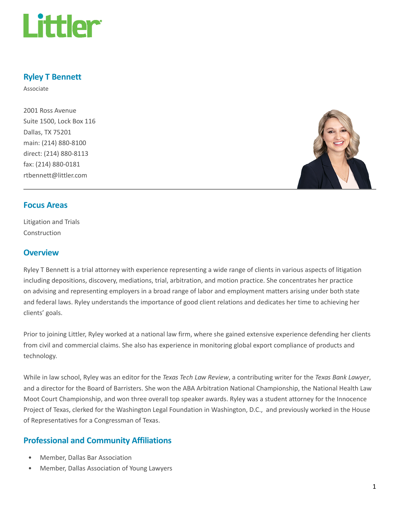

# Ryley T Bennett

Associate

2001 Ross Avenue Suite 1500, Lock Box 116 Dallas, TX 75201 main: (214) 880-8100 direct: (214) 880-8113 fax: (214) 880-0181 rtbennett@littler.com



### Focus Areas

Litigation and Trials Construction

### **Overview**

Ryley T Bennett is a trial attorney with experience representing a wide range of clients in various aspects of litigation including depositions, discovery, mediations, trial, arbitration, and motion practice. She concentrates her practice on advising and representing employers in a broad range of labor and employment matters arising under both state and federal laws. Ryley understands the importance of good client relations and dedicates her time to achieving her clients' goals.

Prior to joining Littler, Ryley worked at a national law firm, where she gained extensive experience defending her clients from civil and commercial claims. She also has experience in monitoring global export compliance of products and technology.

While in law school, Ryley was an editor for the Texas Tech Law Review, a contributing writer for the Texas Bank Lawyer, and a director for the Board of Barristers. She won the ABA Arbitration National Championship, the National Health Law Moot Court Championship, and won three overall top speaker awards. Ryley was a student attorney for the Innocence Project of Texas, clerked for the Washington Legal Foundation in Washington, D.C., and previously worked in the House of Representatives for a Congressman of Texas.

# Professional and Community Affiliations

- Member, Dallas Bar Association
- Member, Dallas Association of Young Lawyers